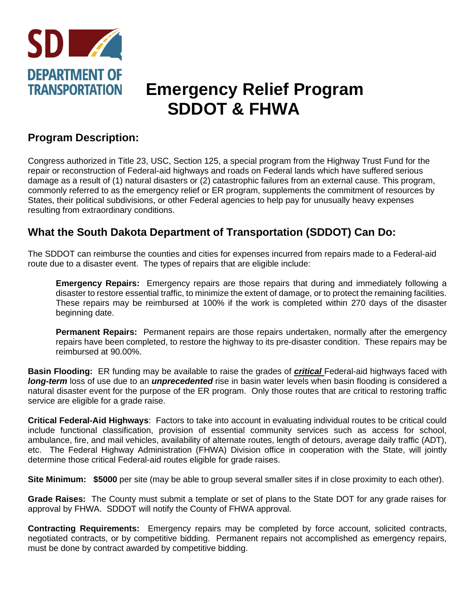

# **TRANSPORTATION Emergency Relief Program SDDOT & FHWA**

### **Program Description:**

Congress authorized in Title 23, USC, Section 125, a special program from the Highway Trust Fund for the repair or reconstruction of Federal-aid highways and roads on Federal lands which have suffered serious damage as a result of (1) natural disasters or (2) catastrophic failures from an external cause. This program, commonly referred to as the emergency relief or ER program, supplements the commitment of resources by States, their political subdivisions, or other Federal agencies to help pay for unusually heavy expenses resulting from extraordinary conditions.

## **What the South Dakota Department of Transportation (SDDOT) Can Do:**

The SDDOT can reimburse the counties and cities for expenses incurred from repairs made to a Federal-aid route due to a disaster event. The types of repairs that are eligible include:

**Emergency Repairs:** Emergency repairs are those repairs that during and immediately following a disaster to restore essential traffic, to minimize the extent of damage, or to protect the remaining facilities. These repairs may be reimbursed at 100% if the work is completed within 270 days of the disaster beginning date.

**Permanent Repairs:** Permanent repairs are those repairs undertaken, normally after the emergency repairs have been completed, to restore the highway to its pre-disaster condition. These repairs may be reimbursed at 90.00%.

**Basin Flooding:** ER funding may be available to raise the grades of *critical* Federal-aid highways faced with *long-term* loss of use due to an *unprecedented* rise in basin water levels when basin flooding is considered a natural disaster event for the purpose of the ER program. Only those routes that are critical to restoring traffic service are eligible for a grade raise.

**Critical Federal-Aid Highways**: Factors to take into account in evaluating individual routes to be critical could include functional classification, provision of essential community services such as access for school, ambulance, fire, and mail vehicles, availability of alternate routes, length of detours, average daily traffic (ADT), etc. The Federal Highway Administration (FHWA) Division office in cooperation with the State, will jointly determine those critical Federal-aid routes eligible for grade raises.

**Site Minimum: \$5000** per site (may be able to group several smaller sites if in close proximity to each other).

**Grade Raises:** The County must submit a template or set of plans to the State DOT for any grade raises for approval by FHWA. SDDOT will notify the County of FHWA approval.

**Contracting Requirements:** Emergency repairs may be completed by force account, solicited contracts, negotiated contracts, or by competitive bidding. Permanent repairs not accomplished as emergency repairs, must be done by contract awarded by competitive bidding.